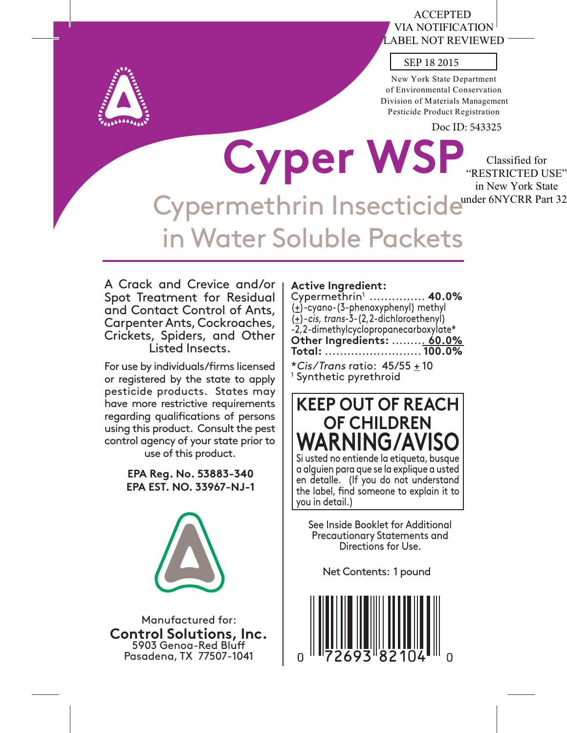# ACCEPTED VIA NOTIFICATION LABEL NOT REVIEWED



New York State Department of Environmental Conservation Division of Materials Management Pesticide Product Registration

Doc ID: 543325

Classified for

**Cyper WSP** Cypermethrin Insecticidewnder 6NYCRR Part 32 in Water Soluble Packets "RESTRICTED USE" in New York State

A Crack and Crevice and/or Spot Treatment for Residual and Contact Control of Ants, Carpenter Ants, Cockroaches, Crickets, Spiders, and Other Listed Insects.

For use by individuals/firms licensed or registered by the state to apply pesticide products. States may have more restrictive requirements regarding qualifications of persons using this product. Consult the pest control agency of your state prior to use of this product.

> **EPA Reg. No. 53883-340 EPA EST. NO. 33967-NJ-1**



Manufactured for: **Control Solutions, Inc.** 5903 Genoa-Red Bluff Pasadena, TX 77507-1041

# **Active Ingredient:**

Cypermethrin1 ............... **40.0%**  $(\pm)$ -cyano-(3-phenoxyphenyl) methyl  $(\pm)$ -cis, trans-3-(2,2-dichloroethenyl) -2,2-dimethylcyclopropanecarboxylate\* **Other Ingredients:** ......... **60.0% Total:** .......................... **100.0%**

\*Cis/Trans ratio: 45/55 + 10 1 Synthetic pyrethroid



See Inside Booklet for Additional Precautionary Statements and Directions for Use.

Net Contents: 1 pound

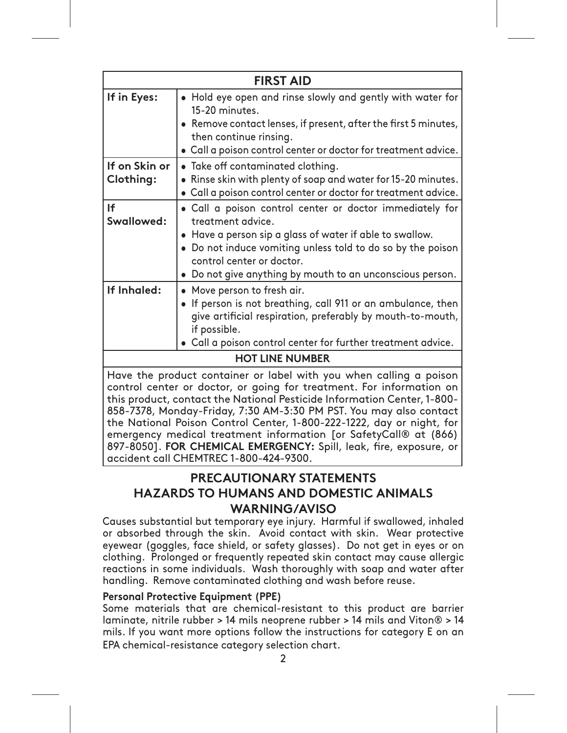| <b>FIRST AID</b>                                                                                                                                                                                                                                                                                                                                                                                                                         |                                                                                                                                                                                                                                                                                                    |  |  |
|------------------------------------------------------------------------------------------------------------------------------------------------------------------------------------------------------------------------------------------------------------------------------------------------------------------------------------------------------------------------------------------------------------------------------------------|----------------------------------------------------------------------------------------------------------------------------------------------------------------------------------------------------------------------------------------------------------------------------------------------------|--|--|
| If in Eyes:                                                                                                                                                                                                                                                                                                                                                                                                                              | . Hold eye open and rinse slowly and gently with water for<br>15-20 minutes.<br>Remove contact lenses, if present, after the first 5 minutes,<br>then continue rinsing.<br>• Call a poison control center or doctor for treatment advice.                                                          |  |  |
| If on Skin or<br>Clothing:                                                                                                                                                                                                                                                                                                                                                                                                               | • Take off contaminated clothing.<br>• Rinse skin with plenty of soap and water for 15-20 minutes.<br>. Call a poison control center or doctor for treatment advice.                                                                                                                               |  |  |
| <b>If</b><br>Swallowed:                                                                                                                                                                                                                                                                                                                                                                                                                  | . Call a poison control center or doctor immediately for<br>treatment advice.<br>• Have a person sip a glass of water if able to swallow.<br>• Do not induce vomiting unless told to do so by the poison<br>control center or doctor.<br>• Do not give anything by mouth to an unconscious person. |  |  |
| If Inhaled:                                                                                                                                                                                                                                                                                                                                                                                                                              | • Move person to fresh air.<br>• If person is not breathing, call 911 or an ambulance, then<br>give artificial respiration, preferably by mouth-to-mouth,<br>if possible.<br>Call a poison control center for further treatment advice.                                                            |  |  |
| <b>HOT LINE NUMBER</b>                                                                                                                                                                                                                                                                                                                                                                                                                   |                                                                                                                                                                                                                                                                                                    |  |  |
| Have the product container or label with you when calling a poison<br>control center or doctor, or going for treatment. For information on<br>this product, contact the National Pesticide Information Center, 1-800-<br>858-7378, Monday-Friday, 7:30 AM-3:30 PM PST. You may also contact<br>the National Poison Control Center, 1-800-222-1222, day or night, for<br>emergency medical treatment information [or SafetyCall® at (866) |                                                                                                                                                                                                                                                                                                    |  |  |

**PRECAUTIONARY STATEMENTS HAZARDS TO HUMANS AND DOMESTIC ANIMALS WARNING/AVISO** 

897-8050]. FOR CHEMICAL EMERGENCY: Spill, leak, fire, exposure, or

Causes substantial but temporary eye injury. Harmful if swallowed, inhaled or absorbed through the skin. Avoid contact with skin. Wear protective eyewear (goggles, face shield, or safety glasses). Do not get in eyes or on clothing. Prolonged or frequently repeated skin contact may cause allergic reactions in some individuals. Wash thoroughly with soap and water after handling. Remove contaminated clothing and wash before reuse.

# **Personal Protective Equipment (PPE)**

accident call CHEMTREC 1-800-424-9300.

Some materials that are chemical-resistant to this product are barrier Iaminate, nitrile rubber > 14 mils neoprene rubber > 14 mils and Viton® > 14 mils. If you want more options follow the instructions for category E on an EPA chemical-resistance category selection chart.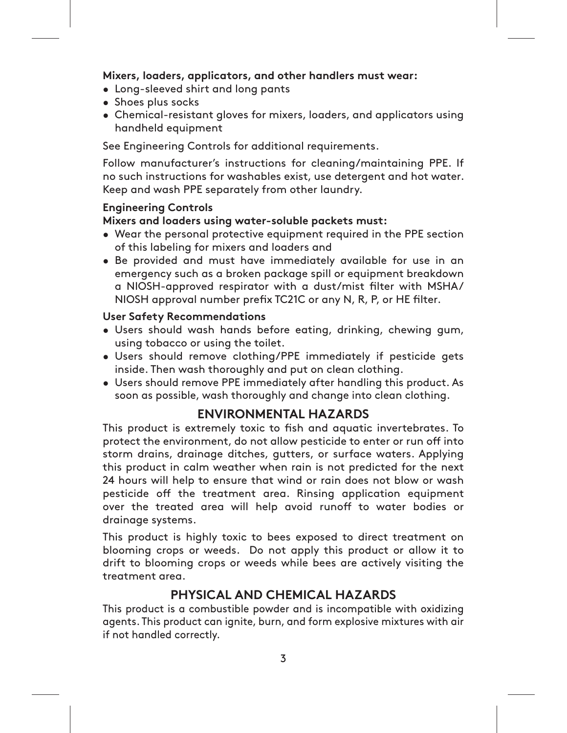# Mixers, loaders, applicators, and other handlers must wear:

- Long-sleeved shirt and long pants
- Shoes plus socks
- Chemical-resistant gloves for mixers, loaders, and applicators using handheld equipment

See Engineering Controls for additional requirements.

Follow manufacturer's instructions for cleaning/maintaining PPE. If no such instructions for washables exist, use detergent and hot water. Keep and wash PPE separately from other laundry.

# **Engineering Controls**

# Mixers and loaders using water-soluble packets must:

- Wear the personal protective equipment required in the PPE section of this labeling for mixers and loaders and
- . Be provided and must have immediately available for use in an emergency such as a broken package spill or equipment breakdown a NIOSH-approved respirator with a dust/mist filter with MSHA/ NIOSH approval number prefix TC21C or any N, R, P, or HE filter.

# **User Safety Recommendations**

- · Users should wash hands before eating, drinking, chewing gum, using tobacco or using the toilet.
- · Users should remove clothing/PPE immediately if pesticide gets inside. Then wash thoroughly and put on clean clothing.
- Users should remove PPE immediately after handling this product. As soon as possible, wash thoroughly and change into clean clothing.

# **ENVIRONMENTAL HAZARDS**

This product is extremely toxic to fish and aquatic invertebrates. To protect the environment, do not allow pesticide to enter or run off into storm drains, drainage ditches, gutters, or surface waters. Applying this product in calm weather when rain is not predicted for the next 24 hours will help to ensure that wind or rain does not blow or wash pesticide off the treatment area. Rinsing application equipment over the treated area will help avoid runoff to water bodies or drainage systems.

This product is highly toxic to bees exposed to direct treatment on blooming crops or weeds. Do not apply this product or allow it to drift to blooming crops or weeds while bees are actively visiting the treatment area.

# **PHYSICAL AND CHEMICAL HAZARDS**

This product is a combustible powder and is incompatible with oxidizing agents. This product can ignite, burn, and form explosive mixtures with air if not handled correctly.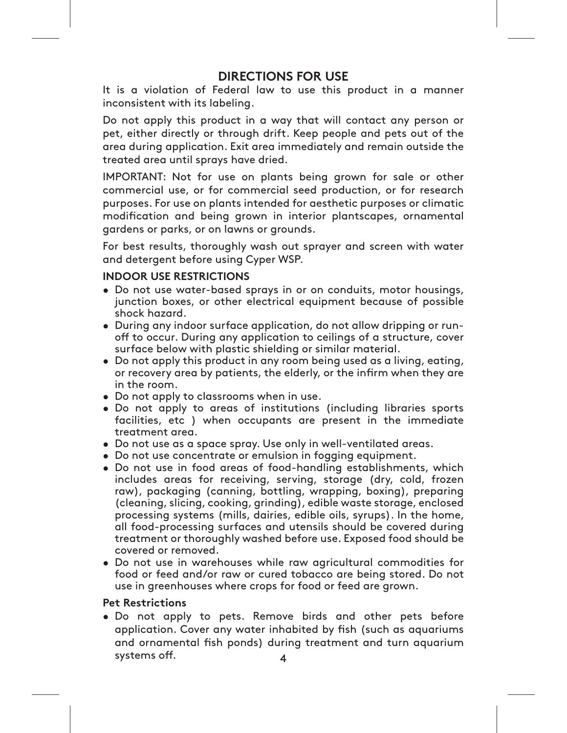# **DIRECTIONS FOR USE**

It is a violation of Federal law to use this product in a manner inconsistent with its labeling.

Do not apply this product in a way that will contact any person or pet, either directly or through drift. Keep people and pets out of the area during application. Exit area immediately and remain outside the treated area until sprays have dried.

IMPORTANT: Not for use on plants being grown for sale or other commercial use, or for commercial seed production, or for research purposes. For use on plants intended for aesthetic purposes or climatic modification and being grown in interior plantscapes, ornamental gardens or parks, or on lawns or grounds.

For best results, thoroughly wash out sprayer and screen with water and detergent before using Cyper WSP.

# **INDOOR USE RESTRICTIONS**

- Do not use water-based sprays in or on conduits, motor housings, junction boxes, or other electrical equipment because of possible shock hazard.
- During any indoor surface application, do not allow dripping or runoff to occur. During any application to ceilings of a structure, cover surface below with plastic shielding or similar material.
- Do not apply this product in any room being used as a living, eating, or recovery area by patients, the elderly, or the infirm when they are in the room.
- Do not apply to classrooms when in use.
- . Do not apply to areas of institutions (including libraries sports facilities, etc) when occupants are present in the immediate treatment area.
- Do not use as a space spray. Use only in well-ventilated areas.
- Do not use concentrate or emulsion in fogging equipment.
- Do not use in food areas of food-handling establishments, which includes areas for receiving, serving, storage (dry, cold, frozen raw), packaging (canning, bottling, wrapping, boxing), preparing (cleaning, slicing, cooking, grinding), edible waste storage, enclosed processing systems (mills, dairies, edible oils, syrups). In the home, all food-processing surfaces and utensils should be covered during treatment or thoroughly washed before use. Exposed food should be covered or removed.
- Do not use in warehouses while raw agricultural commodities for food or feed and/or raw or cured tobacco are being stored. Do not use in greenhouses where crops for food or feed are grown.

# **Pet Restrictions**

. Do not apply to pets. Remove birds and other pets before application. Cover any water inhabited by fish (such as aquariums and ornamental fish ponds) during treatment and turn aquarium systems off.  $\overline{\mathbf{A}}$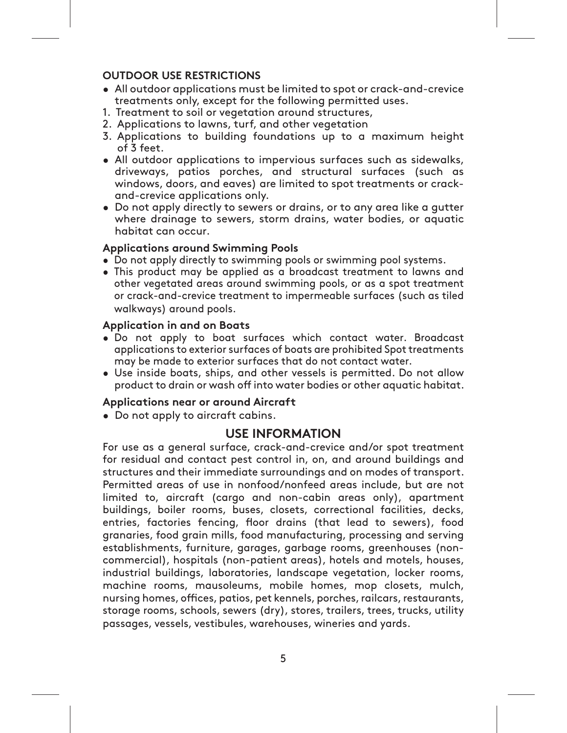# **OUTDOOR USE RESTRICTIONS**

- All outdoor applications must be limited to spot or crack-and-crevice treatments only, except for the following permitted uses.
- 1. Treatment to soil or vegetation around structures,
- 2. Applications to lawns, turf, and other vegetation
- 3. Applications to building foundations up to a maximum height of 3 feet.
- All outdoor applications to impervious surfaces such as sidewalks, driveways, patios porches, and structural surfaces (such as windows, doors, and eaves) are limited to spot treatments or crackand-crevice applications only.
- Do not apply directly to sewers or drains, or to any area like a gutter where drainage to sewers, storm drains, water bodies, or aquatic habitat can occur.

# **Applications around Swimming Pools**

- Do not apply directly to swimming pools or swimming pool systems.
- . This product may be applied as a broadcast treatment to lawns and other vegetated areas around swimming pools, or as a spot treatment or crack-and-crevice treatment to impermeable surfaces (such as tiled walkways) around pools.

# **Application in and on Boats**

- . Do not apply to boat surfaces which contact water. Broadcast applications to exterior surfaces of boats are prohibited Spot treatments may be made to exterior surfaces that do not contact water.
- Use inside boats, ships, and other vessels is permitted. Do not allow product to drain or wash off into water bodies or other aquatic habitat.

# Applications near or around Aircraft

• Do not apply to aircraft cabins.

# **USE INFORMATION**

For use as a general surface, crack-and-crevice and/or spot treatment for residual and contact pest control in, on, and around buildings and structures and their immediate surroundings and on modes of transport. Permitted areas of use in nonfood/nonfeed areas include, but are not limited to, aircraft (cargo and non-cabin areas only), apartment buildings, boiler rooms, buses, closets, correctional facilities, decks, entries, factories fencing, floor drains (that lead to sewers), food granaries, food grain mills, food manufacturing, processing and serving establishments, furniture, garages, garbage rooms, greenhouses (noncommercial), hospitals (non-patient areas), hotels and motels, houses, industrial buildings, laboratories, landscape vegetation, locker rooms, machine rooms, mausoleums, mobile homes, mop closets, mulch, nursing homes, offices, patios, pet kennels, porches, railcars, restaurants, storage rooms, schools, sewers (dry), stores, trailers, trees, trucks, utility passages, vessels, vestibules, warehouses, wineries and yards.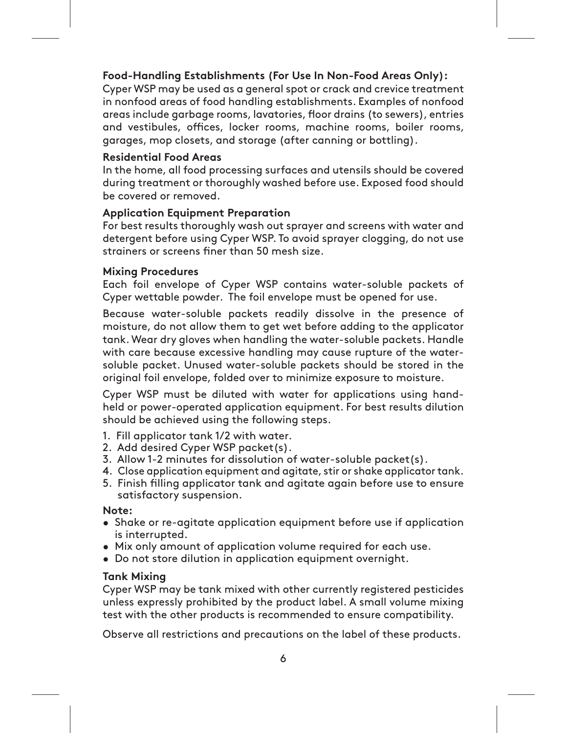# **Food-Handling Establishments (For Use In Non-Food Areas Only):**

Cyper WSP may be used as a general spot or crack and crevice treatment in nonfood areas of food handling establishments. Examples of nonfood areas include garbage rooms, lavatories, floor drains (to sewers), entries and vestibules, offices, locker rooms, machine rooms, boiler rooms, garages, mop closets, and storage (after canning or bottling).

# **Residential Food Areas**

In the home, all food processing surfaces and utensils should be covered during treatment or thoroughly washed before use. Exposed food should be covered or removed.

# **Application Equipment Preparation**

For best results thoroughly wash out sprayer and screens with water and detergent before using Cyper WSP. To avoid sprayer clogging, do not use strainers or screens finer than 50 mesh size.

# **Mixing Procedures**

Each foil envelope of Cyper WSP contains water-soluble packets of Cyper wettable powder. The foil envelope must be opened for use.

Because water-soluble packets readily dissolve in the presence of moisture, do not allow them to get wet before adding to the applicator tank. Wear dry gloves when handling the water-soluble packets. Handle with care because excessive handling may cause rupture of the watersoluble packet. Unused water-soluble packets should be stored in the original foil envelope, folded over to minimize exposure to moisture.

Cyper WSP must be diluted with water for applications using handheld or power-operated application equipment. For best results dilution should be achieved using the following steps.

- 1. Fill applicator tank 1/2 with water.
- 2. Add desired Cyper WSP packet(s).
- 3. Allow 1-2 minutes for dissolution of water-soluble packet(s).
- 4. Close application equipment and agitate, stir or shake applicator tank.
- 5. Finish filling applicator tank and agitate again before use to ensure satisfactory suspension.

# **Note:**

- åShake or re-agitate application equipment before use if application is interrupted.
- åMix only amount of application volume required for each use.
- åDo not store dilution in application equipment overnight.

# **Tank Mixing**

Cyper WSP may be tank mixed with other currently registered pesticides unless expressly prohibited by the product label. A small volume mixing test with the other products is recommended to ensure compatibility.

Observe all restrictions and precautions on the label of these products.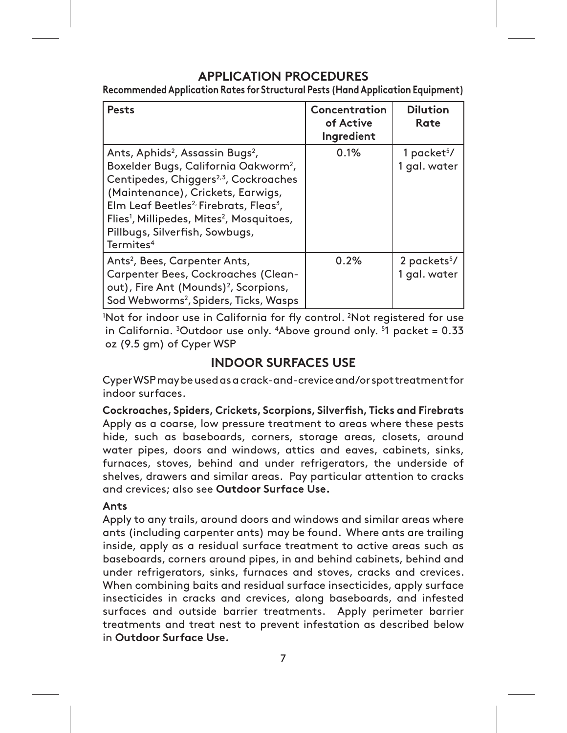# **APPLICATION PROCEDURES**

**Recommended Application Rates for Structural Pests (Hand Application Equipment)**

| <b>Pests</b>                                                                                                                                                                                                                                                                                                                                                                                             | Concentration<br>of Active<br>Ingredient | <b>Dilution</b><br>Rate                  |
|----------------------------------------------------------------------------------------------------------------------------------------------------------------------------------------------------------------------------------------------------------------------------------------------------------------------------------------------------------------------------------------------------------|------------------------------------------|------------------------------------------|
| Ants, Aphids <sup>2</sup> , Assassin Bugs <sup>2</sup> ,<br>Boxelder Bugs, California Oakworm <sup>2</sup> ,<br>Centipedes, Chiggers <sup>2,3</sup> , Cockroaches<br>(Maintenance), Crickets, Earwigs,<br>Elm Leaf Beetles <sup>2,</sup> Firebrats, Fleas <sup>3</sup> ,<br>Flies <sup>1</sup> , Millipedes, Mites <sup>2</sup> , Mosquitoes,<br>Pillbugs, Silverfish, Sowbugs,<br>Termites <sup>4</sup> | 0.1%                                     | 1 packet $5/$<br>1 gal. water            |
| Ants <sup>2</sup> , Bees, Carpenter Ants,<br>Carpenter Bees, Cockroaches (Clean-<br>out), Fire Ant (Mounds) <sup>2</sup> , Scorpions,<br>Sod Webworms <sup>2</sup> , Spiders, Ticks, Wasps                                                                                                                                                                                                               | 0.2%                                     | 2 packets <sup>5</sup> /<br>1 gal. water |

'Not for indoor use in California for fly control. <sup>2</sup>Not registered for use in California. 3 Outdoor use only. 4 Above ground only. 5 1 packet = 0.33 oz (9.5 gm) of Cyper WSP

# **INDOOR SURFACES USE**

Cyper WSP may be used as a crack-and-crevice and/or spot treatment for indoor surfaces.

**Cockroaches, Spiders, Crickets, Scorpions, Silverfish, Ticks and Firebrats** Apply as a coarse, low pressure treatment to areas where these pests hide, such as baseboards, corners, storage areas, closets, around water pipes, doors and windows, attics and eaves, cabinets, sinks, furnaces, stoves, behind and under refrigerators, the underside of shelves, drawers and similar areas. Pay particular attention to cracks and crevices; also see **Outdoor Surface Use.**

# **Ants**

Apply to any trails, around doors and windows and similar areas where ants (including carpenter ants) may be found. Where ants are trailing inside, apply as a residual surface treatment to active areas such as baseboards, corners around pipes, in and behind cabinets, behind and under refrigerators, sinks, furnaces and stoves, cracks and crevices. When combining baits and residual surface insecticides, apply surface insecticides in cracks and crevices, along baseboards, and infested surfaces and outside barrier treatments. Apply perimeter barrier treatments and treat nest to prevent infestation as described below in **Outdoor Surface Use.**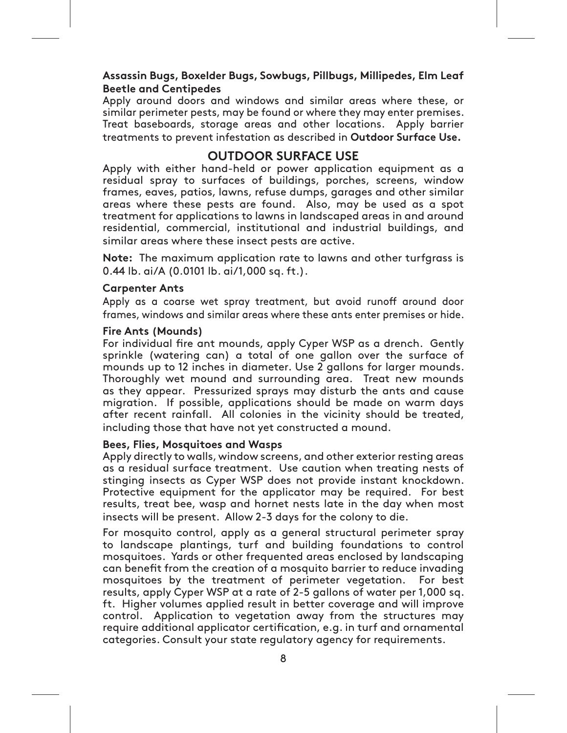# **Assassin Bugs, Boxelder Bugs, Sowbugs, Pillbugs, Millipedes, Elm Leaf Beetle and Centipedes**

Apply around doors and windows and similar areas where these, or similar perimeter pests, may be found or where they may enter premises. Treat baseboards, storage areas and other locations. Apply barrier treatments to prevent infestation as described in **Outdoor Surface Use.**

# **OUTDOOR SURFACE USE**

Apply with either hand-held or power application equipment as a residual spray to surfaces of buildings, porches, screens, window frames, eaves, patios, lawns, refuse dumps, garages and other similar areas where these pests are found. Also, may be used as a spot treatment for applications to lawns in landscaped areas in and around residential, commercial, institutional and industrial buildings, and similar areas where these insect pests are active.

**Note:** The maximum application rate to lawns and other turfgrass is 0.44 lb. ai/A (0.0101 lb. ai/1,000 sq. ft.).

## **Carpenter Ants**

Apply as a coarse wet spray treatment, but avoid runoff around door frames, windows and similar areas where these ants enter premises or hide.

### **Fire Ants (Mounds)**

For individual fire ant mounds, apply Cyper WSP as a drench. Gently sprinkle (watering can) a total of one gallon over the surface of mounds up to 12 inches in diameter. Use 2 gallons for larger mounds. Thoroughly wet mound and surrounding area. Treat new mounds as they appear. Pressurized sprays may disturb the ants and cause migration. If possible, applications should be made on warm days after recent rainfall. All colonies in the vicinity should be treated, including those that have not yet constructed a mound.

# **Bees, Flies, Mosquitoes and Wasps**

Apply directly to walls, window screens, and other exterior resting areas as a residual surface treatment. Use caution when treating nests of stinging insects as Cyper WSP does not provide instant knockdown. Protective equipment for the applicator may be required. For best results, treat bee, wasp and hornet nests late in the day when most insects will be present. Allow 2-3 days for the colony to die.

For mosquito control, apply as a general structural perimeter spray to landscape plantings, turf and building foundations to control mosquitoes. Yards or other frequented areas enclosed by landscaping can benefit from the creation of a mosquito barrier to reduce invading mosquitoes by the treatment of perimeter vegetation. For best results, apply Cyper WSP at a rate of 2-5 gallons of water per 1,000 sq. ft. Higher volumes applied result in better coverage and will improve control. Application to vegetation away from the structures may require additional applicator certification, e.g. in turf and ornamental categories. Consult your state regulatory agency for requirements.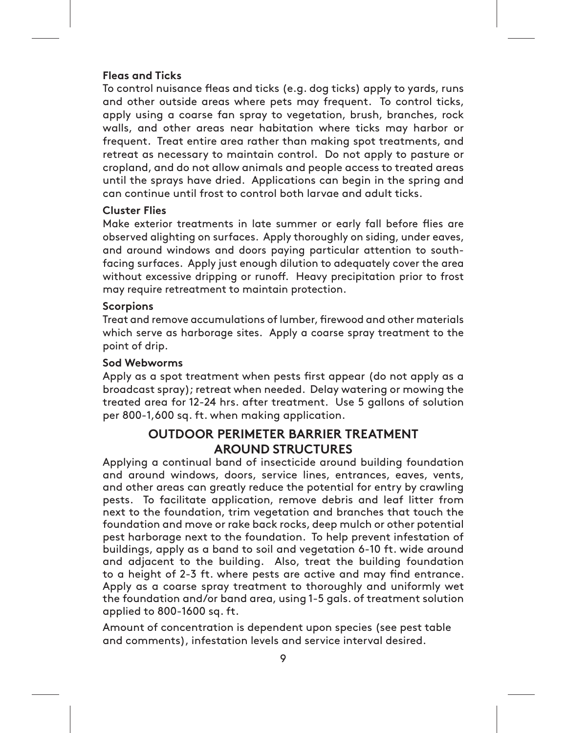# **Fleas and Ticks**

To control nuisance fleas and ticks (e.g. dog ticks) apply to yards, runs and other outside areas where pets may frequent. To control ticks, apply using a coarse fan spray to vegetation, brush, branches, rock walls, and other areas near habitation where ticks may harbor or frequent. Treat entire area rather than making spot treatments, and retreat as necessary to maintain control. Do not apply to pasture or cropland, and do not allow animals and people access to treated areas until the sprays have dried. Applications can begin in the spring and can continue until frost to control both larvae and adult ticks.

# **Cluster Flies**

Make exterior treatments in late summer or early fall before flies are observed alighting on surfaces. Apply thoroughly on siding, under eaves, and around windows and doors paying particular attention to southfacing surfaces. Apply just enough dilution to adequately cover the area without excessive dripping or runoff. Heavy precipitation prior to frost may require retreatment to maintain protection.

# **Scorpions**

Treat and remove accumulations of lumber, firewood and other materials which serve as harborage sites. Apply a coarse spray treatment to the point of drip.

# **Sod Webworms**

Apply as a spot treatment when pests first appear (do not apply as a broadcast spray); retreat when needed. Delay watering or mowing the treated area for 12-24 hrs. after treatment. Use 5 gallons of solution per 800-1,600 sq. ft. when making application.

# **OUTDOOR PERIMETER BARRIER TREATMENT AROUND STRUCTURES**

Applying a continual band of insecticide around building foundation and around windows, doors, service lines, entrances, eaves, vents, and other areas can greatly reduce the potential for entry by crawling pests. To facilitate application, remove debris and leaf litter from next to the foundation, trim vegetation and branches that touch the foundation and move or rake back rocks, deep mulch or other potential pest harborage next to the foundation. To help prevent infestation of buildings, apply as a band to soil and vegetation 6-10 ft. wide around and adjacent to the building. Also, treat the building foundation to a height of 2-3 ft. where pests are active and may find entrance. Apply as a coarse spray treatment to thoroughly and uniformly wet the foundation and/or band area, using 1-5 gals. of treatment solution applied to 800-1600 sq. ft.

Amount of concentration is dependent upon species (see pest table and comments), infestation levels and service interval desired.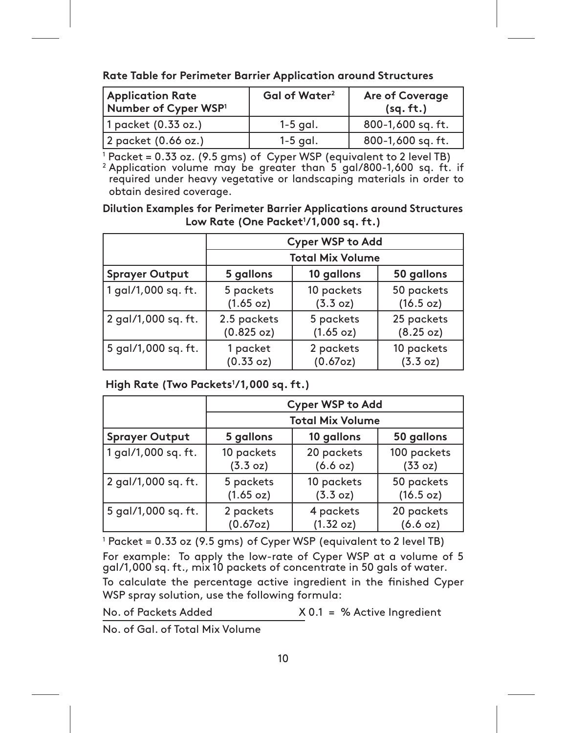| <b>Application Rate</b><br>Number of Cyper WSP <sup>1</sup> | Gal of Water <sup>2</sup> | <b>Are of Coverage</b><br>(sq. ft.) |
|-------------------------------------------------------------|---------------------------|-------------------------------------|
| 1 packet (0.33 oz.)                                         | $1-5$ gal.                | 800-1,600 sq. ft.                   |
| 2 packet (0.66 oz.)                                         | $1-5$ gal.                | 800-1,600 sq. ft.                   |

<sup>1</sup> Packet = 0.33 oz. (9.5 gms) of Cyper WSP (equivalent to 2 level TB)<br><sup>2</sup> Application volume may be greater than 5 gal/800-1,600 sq. ft. if required under heavy vegetative or landscaping materials in order to obtain desired coverage.

**Dilution Examples for Perimeter Barrier Applications around Structures Low Rate (One Packet1 /1,000 sq. ft.)**

|                                              | <b>Cyper WSP to Add</b>   |                        |                         |  |
|----------------------------------------------|---------------------------|------------------------|-------------------------|--|
|                                              | <b>Total Mix Volume</b>   |                        |                         |  |
| <b>Sprayer Output</b>                        | 5 gallons                 | 10 gallons             | 50 gallons              |  |
| 1 gal/1,000 sq. ft.                          | 5 packets<br>(1.65 oz)    | 10 packets<br>(3.3 oz) | 50 packets<br>(16.5 oz) |  |
| 2 gal/1,000 sq. ft.                          | 2.5 packets<br>(0.825 oz) | 5 packets<br>(1.65 oz) | 25 packets<br>(8.25 oz) |  |
| 5 gal/1,000 sq. ft.<br>1 packet<br>(0.33 oz) |                           | 2 packets<br>(0.67oz)  | 10 packets<br>(3.3 oz)  |  |

 **High Rate (Two Packets1 /1,000 sq. ft.)**

|                                              | <b>Cyper WSP to Add</b> |                         |                         |  |
|----------------------------------------------|-------------------------|-------------------------|-------------------------|--|
|                                              |                         | <b>Total Mix Volume</b> |                         |  |
| <b>Sprayer Output</b>                        | 5 gallons               | 10 gallons              | 50 gallons              |  |
| 1 gal/1,000 sq. ft.                          | 10 packets<br>(3.3 oz)  | 20 packets<br>(6.6 oz)  | 100 packets<br>(33 oz)  |  |
| 2 gal/1,000 sq. ft.                          | 5 packets<br>(1.65 oz)  | 10 packets<br>(3.3 oz)  | 50 packets<br>(16.5 oz) |  |
| 5 gal/1,000 sq. ft.<br>2 packets<br>(0.67oz) |                         | 4 packets<br>(1.32 oz)  | 20 packets<br>(6.6 oz)  |  |

 $^1$  Packet = 0.33 oz (9.5 gms) of Cyper WSP (equivalent to 2 level TB)

For example: To apply the low-rate of Cyper WSP at a volume of 5 gal/1,000 sq. ft., mix 10 packets of concentrate in 50 gals of water.

To calculate the percentage active ingredient in the finished Cyper WSP spray solution, use the following formula:

No. of Packets Added X 0.1 = % Active Ingredient

No. of Gal. of Total Mix Volume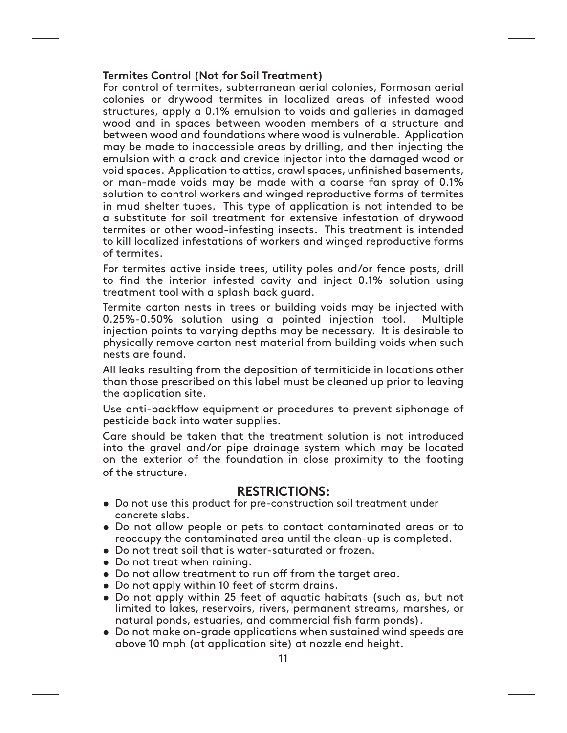# **Termites Control (Not for Soil Treatment)**

For control of termites, subterranean aerial colonies, Formosan aerial colonies or drywood termites in localized areas of infested wood structures, apply a 0.1% emulsion to voids and galleries in damaged wood and in spaces between wooden members of a structure and between wood and foundations where wood is vulnerable. Application may be made to inaccessible areas by drilling, and then injecting the emulsion with a crack and crevice injector into the damaged wood or void spaces. Application to attics, crawl spaces, unfinished basements, or man-made voids may be made with a coarse fan spray of 0.1% solution to control workers and winged reproductive forms of termites in mud shelter tubes. This type of application is not intended to be a substitute for soil treatment for extensive infestation of drywood termites or other wood-infesting insects. This treatment is intended to kill localized infestations of workers and winged reproductive forms of termites.

For termites active inside trees, utility poles and/or fence posts, drill to find the interior infested cavity and inject 0.1% solution using treatment tool with a splash back guard.

Termite carton nests in trees or building voids may be injected with 0.25%-0.50% solution using a pointed injection tool. Multiple injection points to varying depths may be necessary. It is desirable to physically remove carton nest material from building voids when such nests are found.

All leaks resulting from the deposition of termiticide in locations other than those prescribed on this label must be cleaned up prior to leaving the application site.

Use anti-backflow equipment or procedures to prevent siphonage of pesticide back into water supplies.

Care should be taken that the treatment solution is not introduced into the gravel and/or pipe drainage system which may be located on the exterior of the foundation in close proximity to the footing of the structure.

# **RESTRICTIONS:**

- **å** Do not use this product for pre-construction soil treatment under concrete slabs.
- Do not allow people or pets to contact contaminated areas or to reoccupy the contaminated area until the clean-up is completed.
- Do not treat soil that is water-saturated or frozen.
- Do not treat when raining.
- Do not allow treatment to run off from the target area.
- Do not apply within 10 feet of storm drains.
- Do not apply within 25 feet of aquatic habitats (such as, but not limited to lakes, reservoirs, rivers, permanent streams, marshes, or natural ponds, estuaries, and commercial fish farm ponds).
- **•** Do not make on-grade applications when sustained wind speeds are above 10 mph (at application site) at nozzle end height.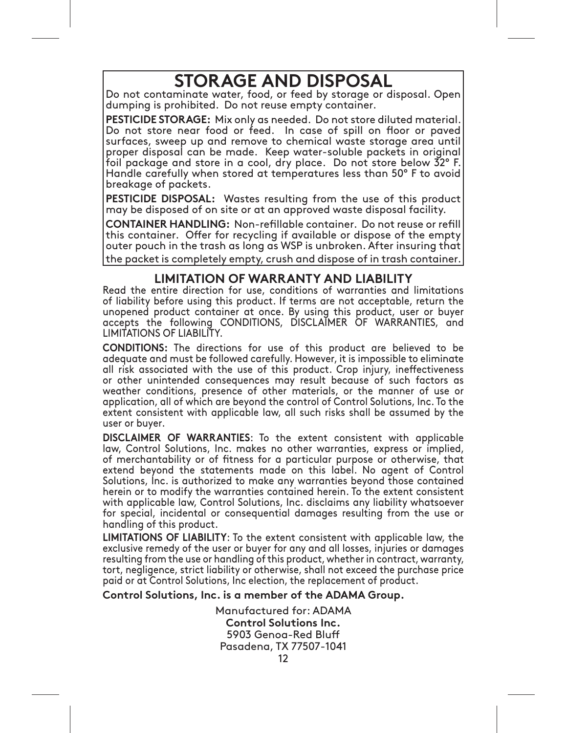# **STORAGE AND DISPOSAL**

Do not contaminate water, food, or feed by storage or disposal. Open dumping is prohibited. Do not reuse empty container.

**PESTICIDE STORAGE:** Mix only as needed. Do not store diluted material. Do not store near food or feed. In case of spill on floor or paved surfaces, sweep up and remove to chemical waste storage area until proper disposal can be made. Keep water-soluble packets in original foil package and store in a cool, dry place. Do not store below  $\bar{3}2^{\circ}$  F. Handle carefully when stored at temperatures less than 50° F to avoid breakage of packets.

**PESTICIDE DISPOSAL:** Wastes resulting from the use of this product may be disposed of on site or at an approved waste disposal facility.

**CONTAINER HANDLING:** Non-refillable container. Do not reuse or refill this container. Offer for recycling if available or dispose of the empty outer pouch in the trash as long as WSP is unbroken. After insuring that the packet is completely empty, crush and dispose of in trash container.

# **LIMITATION OF WARRANTY AND LIABILITY**

Read the entire direction for use, conditions of warranties and limitations of liability before using this product. If terms are not acceptable, return the unopened product container at once. By using this product, user or buyer accepts the following CONDITIONS, DISCLAIMER OF WARRANTIES, and LIMITATIONS OF LIABILITY.

**CONDITIONS:** The directions for use of this product are believed to be adequate and must be followed carefully. However, it is impossible to eliminate all risk associated with the use of this product. Crop injury, ineffectiveness or other unintended consequences may result because of such factors as weather conditions, presence of other materials, or the manner of use or application, all of which are beyond the control of Control Solutions, Inc. To the extent consistent with applicable law, all such risks shall be assumed by the user or buyer.

**DISCLAIMER OF WARRANTIES:** To the extent consistent with applicable law, Control Solutions, Inc. makes no other warranties, express or implied, of merchantability or of fitness for a particular purpose or otherwise, that extend beyond the statements made on this label. No agent of Control Solutions, Inc. is authorized to make any warranties beyond those contained herein or to modify the warranties contained herein. To the extent consistent with applicable law, Control Solutions, Inc. disclaims any liability whatsoever for special, incidental or consequential damages resulting from the use or handling of this product.

**LIMITATIONS OF LIABILITY:** To the extent consistent with applicable law, the exclusive remedy of the user or buyer for any and all losses, injuries or damages resulting from the use or handling of this product, whether in contract, warranty, tort, negligence, strict liability or otherwise, shall not exceed the purchase price paid or at Control Solutions, Inc election, the replacement of product.

**Control Solutions, Inc. is a member of the ADAMA Group.**

12 Manufactured for: ADAMA **Control Solutions Inc.** 5903 Genoa-Red Bluff Pasadena, TX 77507-1041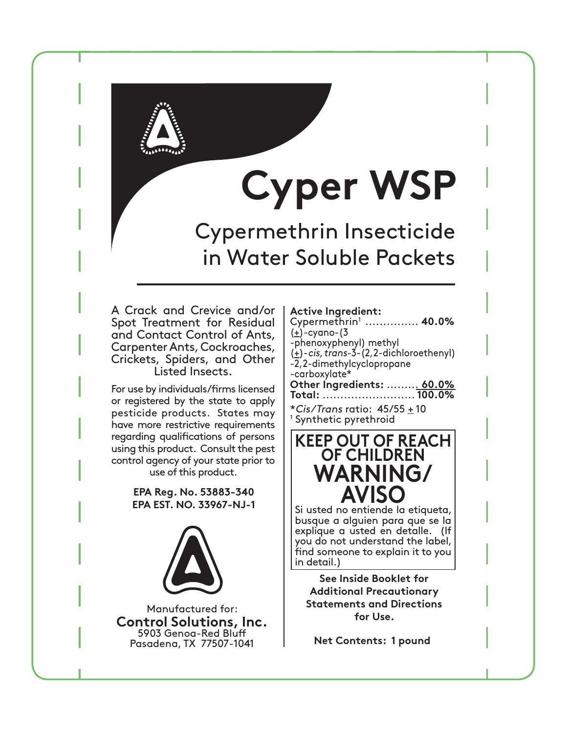

# **Cyper WSP**

Cypermethrin Insecticide in Water Soluble Packets

A Crack and Crevice and/or | Active Ingredient: Spot Treatment for Residual and Contact Control of Ants, Carpenter Ants, Cockroaches, Crickets, Spiders, and Other Listed Insects.

For use by individuals/firms licensed or registered by the state to apply pesticide products. States may have more restrictive requirements regarding qualifications of persons using this product. Consult the pest control agency of your state prior to use of this product.

> **EPA Reg. No. 53883-340 EPA EST. NO. 33967-NJ-1**



Manufactured for: **Control Solutions, Inc.** 5903 Genoa-Red Bluff Pasadena, TX 77507-1041

| Cypermethrin <sup>1</sup> 40.0%             |
|---------------------------------------------|
| $\left(\frac{1}{2}\right)$ -cyano-(3        |
| -phenoxyphenyl) methyl                      |
| $(\pm)$ -cis, trans-3-(2,2-dichloroethenyl) |
| -2,2-dimethylcyclopropane                   |
| -carboxylate*                               |
| Other Ingredients:  60.0%                   |
|                                             |
| *Cis/Trans ratio: $45/55 \pm 10$            |

1 Synthetic pyrethroid

# **KEEP OUT OF REACH OF CHILDREN WARNING/ AVISO**

Si usted no entiende la etiqueta, busque a alguien para que se la explique a usted en detalle. (If you do not understand the label, find someone to explain it to you in detail.)

**See Inside Booklet for Additional Precautionary Statements and Directions for Use.**

**Net Contents: 1 pound**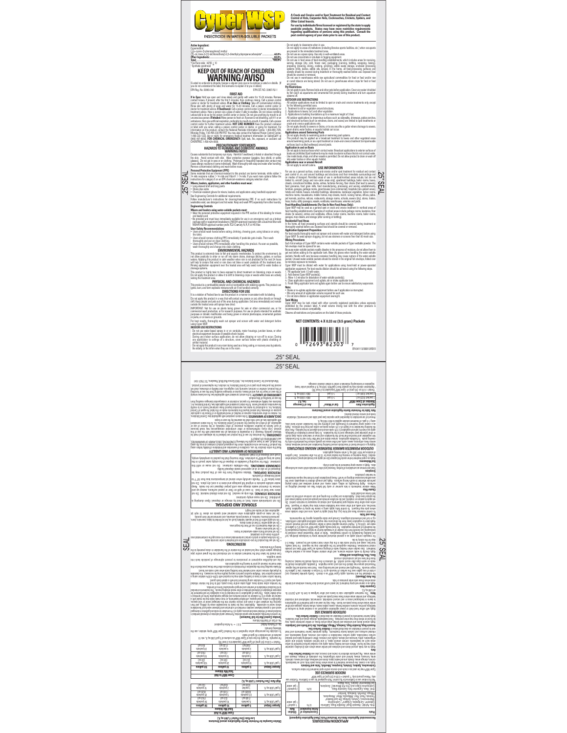

**Active Ingredient:**

Cypermethrin1 (+)\_-cyano-(3-phenoxyphenyl) methyl (+)-cis, trans-3-(2,2-dichloroethenyl)-2,2-dimethylcyclopropanecarboxylate\* ...........................**40.0% Other Ingredients:** ..................................................................................................................................................**60.0%**

*Correction 450 ± 10*<br> **KEEP OUT OF REACH OF CHILDREN<br>
WARNING/AVISO** 

no emiende la etiqueta, busque a alguien para que se la explique a usted en detaile. ()<br>ot understand the label, find someone to explain it to you in detail.)<br>. No. 53883-340

**FIRST AID**

EWAS THE RESULT OF OUR CHARGE AND CONTROL INTO A REPORT OF THE RESULT OF THE RESULT OF THE RESULT OF THE RESULT OF THE RESULT OF THE RESULT OF THE RESULT OF THE RESULT OF THE RESULT OF THE RESULT OF THE RESULT OF THE RESU

#### **PRECAUTIONARY STATEMENTS HAZARDS TO HUMANS AND DOMESTIC ANIMALS**

Cause a administrative transport (WAREN MOVIA) Models and the distribution of the size of the state and size of the state of the state of the state of the state of the state of the state of the state of the state of the s

**SEAL** 

ξŚ

. Long-states all and the University and the state of the University band of the University of the University of the University of the University of the University of the University of the University of the University of

Users should remove PPE immediately after handling this product. As soon as possible, tach foil envelope of Cyper WSP contains water-soluble packets of Cyper wettable powder. The<br>wash thoroughly and change into clean cl

- Uses absolute move in the material of the material control of the state of the state and the state of the material of the state of the state of the state of the state of the state of the state of the state of the state

visiting the teatriest area.<br>This product is a conchatility powerful **AND CHEMICAL HAZARDS**<br>givite, burn, and form explosive implies and announcement mathematic agents. This product can<br>givite, burn, and form explosive imp

drift. Keep people and pets out of the area during application. Exit area immediately and remain<br>outside the treated area unti sprays have dried.<br>IMPORTANT: Not for use on plants being grown for sale or other commercial us

curance the treated area until sprays have chied."<br>"MMPGRTAMP". Not a cura con plants being grown in create or colle commercial use, or for commercial geod production, or for reesors<br>Commercial seed production, or for rees or parks, or on lawns or grounds. For best results, thoroughly wash out sprayer and screen with water and detergent before

using Cyper WSP.<br>- Do not use water-based sprays in or on conduits, motor housings, junction boxes, or other<br>- electrical equipment because of possible shock hazard.<br>- During any indoor surface aspected by cost hazard.<br>- D similar material.<br>• Do not apply this product in any room being used as a living, eating, or recovery area by patients,<br>• the elderly, or the infirm when they are in the room.

.25" SEAL

**Application Rate Number of Cyper WSP1 Gal of Water2 Are of Coverage (sq. ft.)** 1 packet (0.33 oz.) 1-5 gal. 800-1,600 sq. ft. 2 packet (0.66 oz.) 1-5 gal. 800-1,600 sq. ft. 1 EL4" 0ACKETOZGMS OF#YPER730EQUIVALENTTOLEV 2 Application volume may be greater than 5 gal/800-1,600 sq. ft. if required under heavy vegetative or landscaping materials in order to obtain desired coverage.

water per 1,000 sq. ft. Higher volumes applied result in better coverage and will improve control. Application to vegetation away from the structures may require additional applicator certification, e.g. in turf and ornamental categories. Consult your state regulatory agency for requirements. **Fleas and Ticks** To control nuisance fleas and ticks (e.g. dog ticks) apply to yards, runs and other outside areas where pets may frequent. To control ticks, apply using a coarse fan spray to vegetation, brush, branches, rock walls, and other areas near habitation where ticks may harbor or frequent. Treat entire area rather than making spot treatments, and retreat as necessary to maintain control. Do not apply to pasture or cropland, and do not allow animals and people access to treated areas until the sprays have dried. Applications can begin in the spring and can continue until frost to control both larvae and adult ticks. **Cluster Flies** Make exterior treatments in late summer or early fall before flies are observed alighting on surfaces. Apply thoroughly on siding, under eaves, and around windows and doors paying particular attention to south-facing surfaces. Apply just enough dilution to adequately cover the area without excessive dripping or runoff. Heavy precipitation prior to frost may require retreatment to maintain protection. **Scorpions** Treat and remove accumulations of lumber, firewood and other materials which serve as harborage sites. Apply a coarse spray treatment to the point of drip. **Sod Webworms** Apply as a spot treatment when pests first appear (do not apply as a broadcast spray); retreat when needed. Delay watering or mowing the treated area for 12-24 hrs. after treatment. Use 5 gallons of solution per 800-1,600 sq. ft. when making application. **ERIMETER BARRIER TREATMENT AROUND STRUCTURES OUTDOOR P** Applying a continual band of insecticide around building foundation and around windows, doors, service lines, entrances, eaves, vents, and other areas can greatly reduce the potential for entry by crawling pests. To facilitate application, remove debris and leaf litter from next to the foundation, trim vegetation and branches that touch the foundation and move or rake back rocks, deep mulch or other potential pest harborage next to the foundation. To help prevent infestation of buildings, apply as a band to soil and vegetation 6-10 ft. wide around and adjacent to the building. Also, treat the building foundation to a height of 2-3 ft. where pests are active and may find entrance. Apply as a coarse spray treatment to thoroughly and uniformly wet the foundation and/or band area, using 1-5 gals. of treatment solution applied to 800-1600 sq. ft. Amount of concentration is dependent upon species (see pest table and comments), infestation levels and service interval desired. **Rate Table for Perimeter Barrier Application around Structures**

hui agnimeiq espasional oi verqa relemneq latutauria leneneg e as vippe, Johnco chupeom to-<br>yd beachone aenis beheupen 'nerbo oi sinda (autousom loutino oi anchiatouria) chipikar beheupen<br>yd aechupeom gintexni sucher di re

S. instant knock of the application in the application may be required. For being and the best results, thow 2-3<br>treat knock and hornet between the day when most insects will be present. Allow 2-3 and the colony to die.<br>E-S w

SEAI  $\begin{split} &\text{where } \mathbf{u} \in \mathbb{R}^{n} \text{ and } \mathbf{u} \in \mathbb{R}^{n} \text{ and } \mathbf{u} \in \mathbb{R}^{n} \text{ and } \mathbf{u} \in \mathbb{R}^{n} \text{ and } \mathbf{u} \in \mathbb{R}^{n} \text{ and } \mathbf{u} \in \mathbb{R}^{n} \text{ and } \mathbf{u} \in \mathbb{R}^{n} \text{ and } \mathbf{u} \in \mathbb{R}^{n} \text{ and } \mathbf{u} \in \mathbb{R}^{n} \text{ and } \mathbf{u} \in \mathbb$ 

hitraques gentudon) atra ensine aerse talmas bra avolonne bra enco fortuora afacti que of inquistante de la ch<br>subte of the minister scaling ladden a se vigtop, staten i primer enerons a praided afficers are interested to<br>  $\label{eq:2}$  and the main state of the state of the state of the state of the state of the state of the state of the state of the state of the state of the state of the state of the state of the state of the state of the sta

advaced a Spillars (and the Molek Schoplon Sheem Steel and the section and the section of the section of the s<br>The World and Steel and the section of the section of the section of the section of the section of the section<br> **Ants**

**Pests Concentration of Active Ingredient Dilution Rate** 0.1% 1 packet5 Pillbugs, Shierish, Sowbugs, Foreirals<br>Pillbugs, Pillbugs, Pillbugs, Pillbugs, Pillbegs,<br>Pillbugs, Pillbugs, Pillbugs, Pillbugs, Dissels<br>Pillbugs, Pillbugs, Pillbugs, Pillbugs, Dissels<br>Pillbugs, Pillbugs, Pillbugs, Pillbug / 1 gal. water Sod Webworms", Spiders, Ticks, Wasps<br>Cockroaches (Clean-out), Fire Ant (Mounds)", Scorpions,<br>Sod Webworms", Spiders, Ticks, Wasps ores ||<br>| 130ew Jeg L hera is the material of a chark-and-enter of an appropriate the unit of the state of an index of a<br>**BSN ARTION DISTING IS 15 20 AN ARTION OF STATE AND ARTISTS**<br>We have a comparison of a state of the state of the state of n<br>NGC registered for use in California.<br>1

**APPLICATION PROCEDURES Recommended Application Rates for Structural Pests (Hand Application Equipment)**

· Do not apply to classrooms when in use. · Do not apply to areas of institutions (including libraries sports facilities, etc ) when occupants are present in the immediate treatment area.<br>- Do not use as a space spray. Use only in well-ventilated areas.<br>- Do not use concentrate or envision in fogging equipment.<br>- Do not use in food areas of food-handling establis sentra, storage (86), cond. frozen rank, paskaging (caming, botting, weapons, poursal, propriate presentration propriate propriate propriate propriate propriate propriate propriate propriate propriate distribution of the f

A Crack and Crevice and/or Spot Treatment for Residual and Contact<br>Control of Ants, Carpenter Ants, Cockroaches, Crickets, Spiders, and<br>Other Listed Insects.<br>For was by individuals/Ilms licensed or registered by the state **regarding qualifications of persons using this product. Consult the pest control agency of your state prior to use of this product.**

· Do not apply to pets. Remove birds and other pets before application. Cover any water inhabited by fish (such as aquariums and ornamental fish ponds) during treatment and turn aquarium

· All outdoor applications must be limited to spot or crack-and-crevice treatments only, except

A *repossible to business backeting* on go a measurem lenged of 3 MeX-more particular and procedure and the state of the state of the state of the state of the state of the state of the state of the state of the state of t

**Application in and on Boats**<br>- Do not apply to boat surfaces which contact water. Broadcast applications to exterior surfaces of boass are promoteo sport treatments may be make to sense sure authorizes treat con out contact waves<br>- Use inside boats, ships, and other vessels is permitted. Do not allow product to drain or wash off<br>- into water bodies

by one in a permanental management of earthcal management of the state of the state of the state of the state of the state of the state of the state of the state of the state of the state of the state of the state of the s

excave wave stating phoses feating wasser in the presence of measure, one are one and the present with the present of the present of the stating and the stating term of the water-station of the station of the station of t

3. Allow 1-2 mmutes by réseaublem of weber-sehitle packetig).<br>4. Chave againstice requirement and against affect arbivé au touche solutions tank.<br>More in the packetig contract and against again to brief un to treat ve adis Note:<br>• Shake or re-agitate application equipment before use if application is interrupted.<br>• Mix only amount of application volume required for each use. Tannik Mikining<br>Cyper WSP may be tank mixed with other currently registered pesticides unless expressly<br>prohibited by the product label. A small volume mixing test with the other products is<br>recommended to ensure comparabi

**NET CONTENTS: 4 X 0.33 oz (9.5 gram) Packets**

are grown. **Pet Restrictions**

systems oft.<br>**OUTDOOR USE RESTRICTIONS**<br>- All outdoor applications must be limited to spot of<br>- for the following permitted uses.<br>1. Treatment to soil or vegetation around structures,<br>2. Applications to lawns, turf, and ot

.25" SEAL

 $\begin{array}{c} \begin{array}{c} \end{array} \\ \begin{array}{c} \end{array} \\ \begin{array}{c} \end{array} \\ \begin{array}{c} \end{array} \\ \begin{array}{c} \end{array} \\ \begin{array}{c} \end{array} \\ \begin{array}{c} \end{array} \\ \begin{array}{c} \end{array} \\ \begin{array}{c} \end{array} \\ \begin{array}{c} \end{array} \\ \begin{array}{c} \end{array} \\ \begin{array}{c} \end{array} \\ \begin{array}{c} \end{array} \\ \begin{array}{c} \end{array} \\ \begin{array}{c} \end{array} \\ \begin{array}{c} \end{array} \\ \begin{array}{$ EPA 041113/080813/REV B

purpose or otherwise, that extend beyond the statements made on this label. No agent of Control Solutions, Inc. is authorized to make any warranties beyond those contained herein or to modify the warranties contained herein. To the extent consistent with applicable law, Control Solutions, Inc. disclaims any liability whatsoever for special, incidental or consequential damages resulting from the use or handling of this product. : To the extent consistent with applicable law, the exclusive remedy **LIABILITY LIMITATIONS OF**  of the user or buyer for any and all losses, injuries or damages resulting from the use or handling of this product, whether in contract, warranty, tort, negligence, strict liability or otherwise, shall not exceed the purchase price paid or at Control Solutions, Inc election, the replacement of product. 0ASADENA48 -ANUFACTUREDFOR#ONTROL3OLUTIONS)NC'ENOA
2ED"LUFF

 $\begin{array}{l} \text{MSE} & \text{MSE} \\ \text{MSE} & \text{MSE} \\ \text{MSE} & \text{MSE} \\ \text{MSE} & \text{MSE} \\ \text{MSE} & \text{MSE} \\ \text{MSE} & \text{MSE} \\ \text{MSE} & \text{MSE} \\ \text{MSE} & \text{MSE} \\ \text{MSE} & \text{MSE} \\ \text{MSE} & \text{MSE} \\ \text{MSE} & \text{MSE} \\ \text{MSE} & \text{MSE} \\ \text{MSE} & \text{MSE} \\ \text{MSE} & \text{MSE} \\ \text{MSE} & \text{MSE} \\ \text{$ 

. Do not album insigment to run off from this target<br>- Do not treat to me the claiming.<br>- Do not treat soll that is weller-eaturabled or fincer.<br>- Do not treat people or persion contact contenuinable areas or to reoccupy t **SEAL** 

 $\label{eq:2}$  where the state of the state of the state of the state of the state of the state of the state of the state of the state of the state of the state of the state of the state of the state of the state of the state

 $\label{eq:2} The equation of the first is a constant. The equation of the first is a constant, the second is a constant, the second is a constant. The equation of the first is a constant, the second is a constant, the second is a constant, the second is a constant, the second is a constant, the second is a constant, the second is a constant, the second is a constant, the second is a constant, the second is a constant, the second is a constant, the second is a constant, the second is a constant, the second is a constant, the second is a constant, the second is a constant, the second is a constant, the second is a constant, the second is a constant, the second is a constant, the second is a constant, the second is a constant, the second is a constant, the second is a constant, the second is a constant, the second is a constant, the second is a constant, the second is a constant, the second is a constant, the second is a constant,$ 

2 gal/1,000 sq. ft. 5 packets (1.65 oz) 10 packets (3.3 oz) 50 packets (16.5 oz) 5 gal/1,000 sq. ft. 2 packets (0.67oz) 4 packets (1.32 oz) 20 packets (6.6 oz) <sup>1</sup> 4" 0ACKETOZGMS OF#YPER730EQUIVALENTTOLEVEL For example: To apply the low-rate of Cyper WSP at a volume of 5 gal/1,000 sq. ft., mix 10 packets of concentrate in 50 gals of water.

**Dilution Examples for Perimeter Barrier Applications around Structures Low Rate (One Packet1 /1,000 sq. ft.)**

**Example B OUTPUTE A Consultant Consultant Consultant Consultant Consultant Consultant Consultant Consultant Consultant Consultant Consultant Consultant Consultant Consultant Consultant Consultant Consultant Consultant C** 1 gal/1,000 sq. ft. 5 packets (1.65 oz) 10 packets (3.3 oz) (16.5 oz) 2 gal/1,000 sq. ft. 2.5 packets (0.825 oz) 5 packets (1.65 oz) 25 packets (8.25 oz) 5 gal/1,000 sq. ft. 1 packet (0.33 oz) 2 packets (0.67oz) 10 packets (3.3 oz)  **High Rate (Two Packets1 /1,000 sq. ft.)**

**Cyper Output Cyper Sprayer Output Additional Sprayer of Sprayer Sprayer (3.3 org)<br>
<b>Cyper Sprayer of Sprayer Sprayer Sprayer Sprayer Sprayer Sprayer Sprayer<br>
<b>Cyper Sprayer Sprayer Sprayer Sprayer Sprayer Sprayer Sprayer<br>** 20 packets)<br>100 packets (

**Cyper WSP to Add Total Mix Volume**

 $\frac{\text{supp of 0s}}{\text{supp of 0s}}$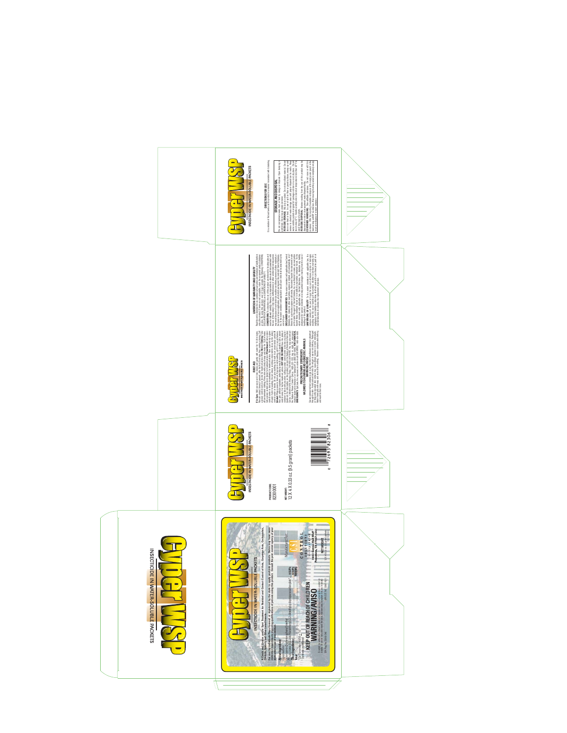